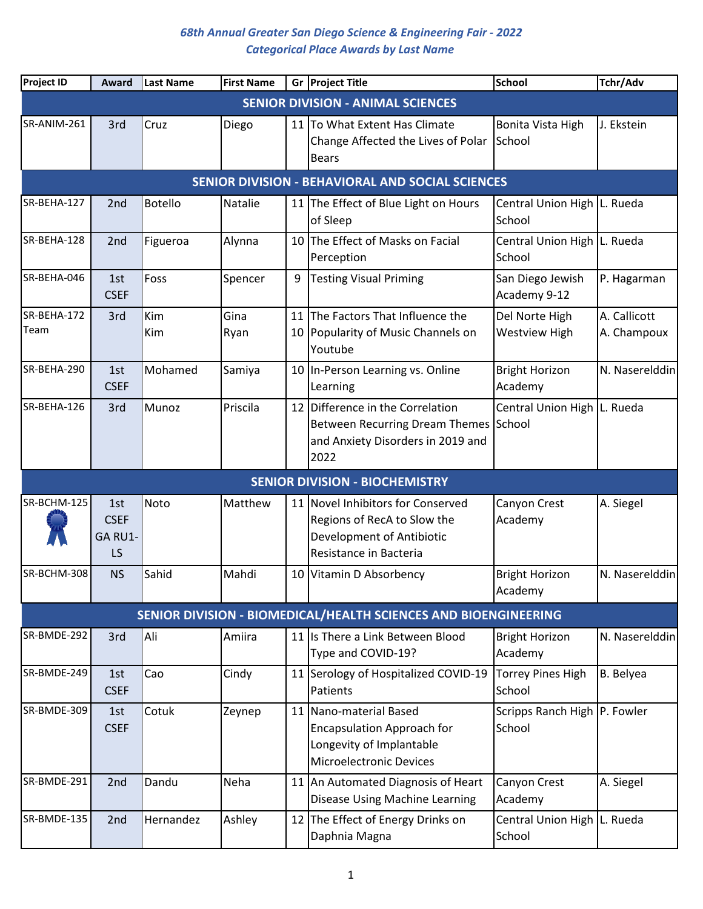| <b>Project ID</b>                        | Award                               | <b>Last Name</b> | <b>First Name</b> |          | Gr Project Title                                                                                                          | <b>School</b>                            | Tchr/Adv                    |  |  |  |  |
|------------------------------------------|-------------------------------------|------------------|-------------------|----------|---------------------------------------------------------------------------------------------------------------------------|------------------------------------------|-----------------------------|--|--|--|--|
| <b>SENIOR DIVISION - ANIMAL SCIENCES</b> |                                     |                  |                   |          |                                                                                                                           |                                          |                             |  |  |  |  |
| SR-ANIM-261                              | 3rd                                 | Cruz             | Diego             |          | 11 To What Extent Has Climate<br>Change Affected the Lives of Polar<br><b>Bears</b>                                       | Bonita Vista High<br>School              | J. Ekstein                  |  |  |  |  |
|                                          |                                     |                  |                   |          | <b>SENIOR DIVISION - BEHAVIORAL AND SOCIAL SCIENCES</b>                                                                   |                                          |                             |  |  |  |  |
| SR-BEHA-127                              | 2 <sub>nd</sub>                     | <b>Botello</b>   | <b>Natalie</b>    |          | 11 The Effect of Blue Light on Hours<br>of Sleep                                                                          | Central Union High L. Rueda<br>School    |                             |  |  |  |  |
| SR-BEHA-128                              | 2nd                                 | Figueroa         | Alynna            | 10       | The Effect of Masks on Facial<br>Perception                                                                               | Central Union High L. Rueda<br>School    |                             |  |  |  |  |
| SR-BEHA-046                              | 1st<br><b>CSEF</b>                  | Foss             | Spencer           | 9        | <b>Testing Visual Priming</b>                                                                                             | San Diego Jewish<br>Academy 9-12         | P. Hagarman                 |  |  |  |  |
| SR-BEHA-172<br>Team                      | 3rd                                 | Kim<br>Kim       | Gina<br>Ryan      | 11<br>10 | The Factors That Influence the<br>Popularity of Music Channels on<br>Youtube                                              | Del Norte High<br><b>Westview High</b>   | A. Callicott<br>A. Champoux |  |  |  |  |
| SR-BEHA-290                              | 1st<br><b>CSEF</b>                  | Mohamed          | Samiya            |          | 10 In-Person Learning vs. Online<br>Learning                                                                              | <b>Bright Horizon</b><br>Academy         | N. Naserelddin              |  |  |  |  |
| SR-BEHA-126                              | 3rd                                 | Munoz            | Priscila          | 12       | Difference in the Correlation<br><b>Between Recurring Dream Themes</b><br>and Anxiety Disorders in 2019 and<br>2022       | Central Union High L. Rueda<br>School    |                             |  |  |  |  |
|                                          |                                     |                  |                   |          | <b>SENIOR DIVISION - BIOCHEMISTRY</b>                                                                                     |                                          |                             |  |  |  |  |
| SR-BCHM-125                              | 1st<br><b>CSEF</b><br>GA RU1-<br>LS | Noto             | Matthew           |          | 11 Novel Inhibitors for Conserved<br>Regions of RecA to Slow the<br>Development of Antibiotic<br>Resistance in Bacteria   | Canyon Crest<br>Academy                  | A. Siegel                   |  |  |  |  |
| SR-BCHM-308                              | <b>NS</b>                           | Sahid            | Mahdi             |          | 10 Vitamin D Absorbency                                                                                                   | <b>Bright Horizon</b><br>Academy         | N. Naserelddin              |  |  |  |  |
|                                          |                                     |                  |                   |          | SENIOR DIVISION - BIOMEDICAL/HEALTH SCIENCES AND BIOENGINEERING                                                           |                                          |                             |  |  |  |  |
| SR-BMDE-292                              | 3rd                                 | Ali              | Amiira            |          | 11 Is There a Link Between Blood<br>Type and COVID-19?                                                                    | <b>Bright Horizon</b><br>Academy         | N. Naserelddin              |  |  |  |  |
| SR-BMDE-249                              | 1st<br><b>CSEF</b>                  | Cao              | Cindy             |          | 11 Serology of Hospitalized COVID-19<br>Patients                                                                          | <b>Torrey Pines High</b><br>School       | B. Belyea                   |  |  |  |  |
| SR-BMDE-309                              | 1st<br><b>CSEF</b>                  | Cotuk            | Zeynep            |          | 11 Nano-material Based<br><b>Encapsulation Approach for</b><br>Longevity of Implantable<br><b>Microelectronic Devices</b> | Scripps Ranch High   P. Fowler<br>School |                             |  |  |  |  |
| SR-BMDE-291                              | 2nd                                 | Dandu            | Neha              |          | 11 An Automated Diagnosis of Heart<br>Disease Using Machine Learning                                                      | Canyon Crest<br>Academy                  | A. Siegel                   |  |  |  |  |
| SR-BMDE-135                              | 2nd                                 | Hernandez        | Ashley            |          | 12 The Effect of Energy Drinks on<br>Daphnia Magna                                                                        | Central Union High   L. Rueda<br>School  |                             |  |  |  |  |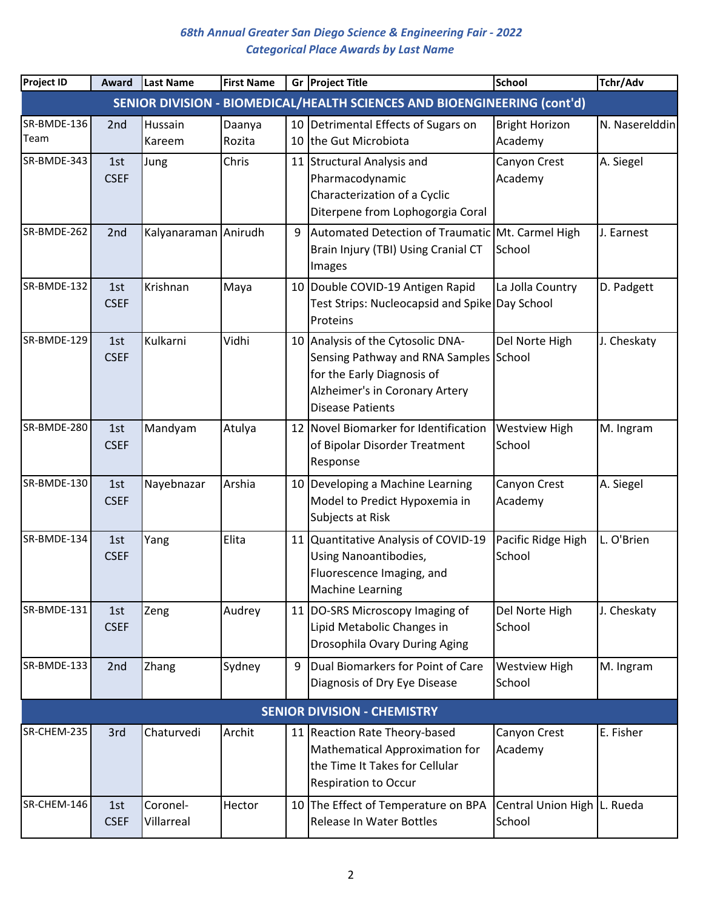| <b>Project ID</b>   | Award              | <b>Last Name</b>       | <b>First Name</b> |          | Gr Project Title                                                                                                                                                       | School                                  | Tchr/Adv       |
|---------------------|--------------------|------------------------|-------------------|----------|------------------------------------------------------------------------------------------------------------------------------------------------------------------------|-----------------------------------------|----------------|
|                     |                    |                        |                   |          | SENIOR DIVISION - BIOMEDICAL/HEALTH SCIENCES AND BIOENGINEERING (cont'd)                                                                                               |                                         |                |
| SR-BMDE-136<br>Team | 2nd                | Hussain<br>Kareem      | Daanya<br>Rozita  | 10<br>10 | Detrimental Effects of Sugars on<br>the Gut Microbiota                                                                                                                 | <b>Bright Horizon</b><br>Academy        | N. Naserelddin |
| SR-BMDE-343         | 1st<br><b>CSEF</b> | Jung                   | Chris             |          | 11 Structural Analysis and<br>Pharmacodynamic<br>Characterization of a Cyclic<br>Diterpene from Lophogorgia Coral                                                      | Canyon Crest<br>Academy                 | A. Siegel      |
| SR-BMDE-262         | 2nd                | Kalyanaraman Anirudh   |                   | 9        | Automated Detection of Traumatic Mt. Carmel High<br>Brain Injury (TBI) Using Cranial CT<br>Images                                                                      | School                                  | J. Earnest     |
| SR-BMDE-132         | 1st<br><b>CSEF</b> | Krishnan               | Maya              |          | 10 Double COVID-19 Antigen Rapid<br>Test Strips: Nucleocapsid and Spike Day School<br>Proteins                                                                         | La Jolla Country                        | D. Padgett     |
| SR-BMDE-129         | 1st<br><b>CSEF</b> | Kulkarni               | Vidhi             |          | 10 Analysis of the Cytosolic DNA-<br>Sensing Pathway and RNA Samples School<br>for the Early Diagnosis of<br>Alzheimer's in Coronary Artery<br><b>Disease Patients</b> | Del Norte High                          | J. Cheskaty    |
| SR-BMDE-280         | 1st<br><b>CSEF</b> | Mandyam                | Atulya            |          | 12 Novel Biomarker for Identification<br>of Bipolar Disorder Treatment<br>Response                                                                                     | <b>Westview High</b><br>School          | M. Ingram      |
| SR-BMDE-130         | 1st<br><b>CSEF</b> | Nayebnazar             | Arshia            |          | 10 Developing a Machine Learning<br>Model to Predict Hypoxemia in<br>Subjects at Risk                                                                                  | Canyon Crest<br>Academy                 | A. Siegel      |
| SR-BMDE-134         | 1st<br><b>CSEF</b> | Yang                   | Elita             | 11       | Quantitative Analysis of COVID-19<br>Using Nanoantibodies,<br>Fluorescence Imaging, and<br><b>Machine Learning</b>                                                     | Pacific Ridge High<br>School            | L. O'Brien     |
| SR-BMDE-131         | 1st<br><b>CSEF</b> | Zeng                   | Audrey            |          | 11 DO-SRS Microscopy Imaging of<br>Lipid Metabolic Changes in<br>Drosophila Ovary During Aging                                                                         | Del Norte High<br>School                | J. Cheskaty    |
| SR-BMDE-133         | 2nd                | Zhang                  | Sydney            | 9        | Dual Biomarkers for Point of Care<br>Diagnosis of Dry Eye Disease                                                                                                      | <b>Westview High</b><br>School          | M. Ingram      |
|                     |                    |                        |                   |          | <b>SENIOR DIVISION - CHEMISTRY</b>                                                                                                                                     |                                         |                |
| SR-CHEM-235         | 3rd                | Chaturvedi             | Archit            |          | 11 Reaction Rate Theory-based<br>Mathematical Approximation for<br>the Time It Takes for Cellular<br><b>Respiration to Occur</b>                                       | Canyon Crest<br>Academy                 | E. Fisher      |
| SR-CHEM-146         | 1st<br><b>CSEF</b> | Coronel-<br>Villarreal | Hector            |          | 10 The Effect of Temperature on BPA<br><b>Release In Water Bottles</b>                                                                                                 | Central Union High   L. Rueda<br>School |                |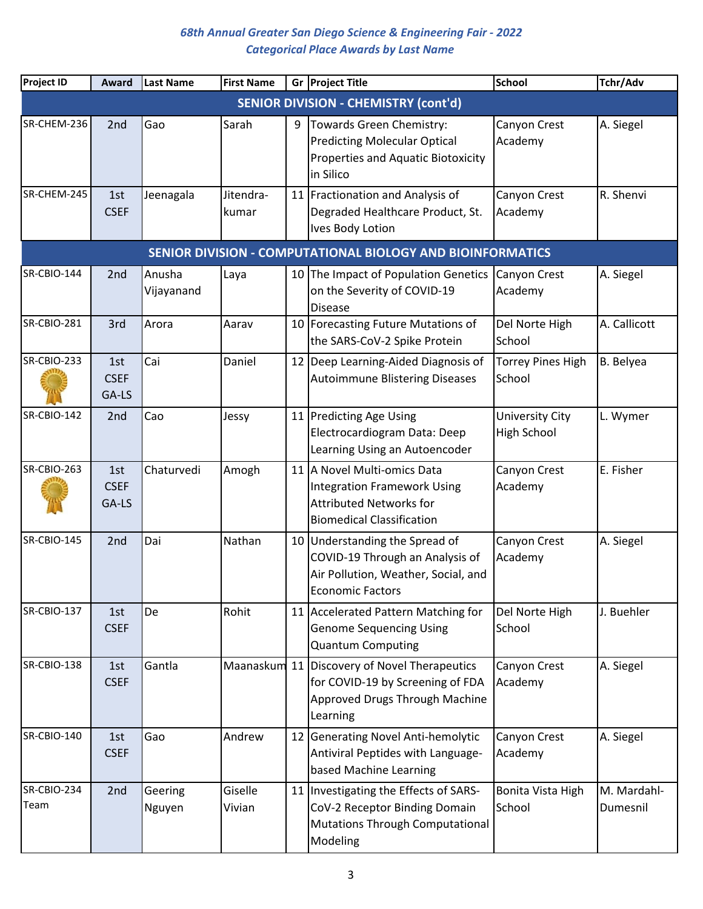| <b>Project ID</b>                                          | Award                       | Last Name            | <b>First Name</b>  |    | Gr Project Title                                                                                                                        | <b>School</b>                                | Tchr/Adv                |  |  |  |  |  |
|------------------------------------------------------------|-----------------------------|----------------------|--------------------|----|-----------------------------------------------------------------------------------------------------------------------------------------|----------------------------------------------|-------------------------|--|--|--|--|--|
| <b>SENIOR DIVISION - CHEMISTRY (cont'd)</b>                |                             |                      |                    |    |                                                                                                                                         |                                              |                         |  |  |  |  |  |
| SR-CHEM-236                                                | 2nd                         | Gao                  | Sarah              | 9  | Towards Green Chemistry:<br><b>Predicting Molecular Optical</b><br><b>Properties and Aquatic Biotoxicity</b><br>in Silico               | Canyon Crest<br>Academy                      | A. Siegel               |  |  |  |  |  |
| SR-CHEM-245                                                | 1st<br><b>CSEF</b>          | Jeenagala            | Jitendra-<br>kumar |    | 11 Fractionation and Analysis of<br>Degraded Healthcare Product, St.<br><b>Ives Body Lotion</b>                                         | Canyon Crest<br>Academy                      | R. Shenvi               |  |  |  |  |  |
| SENIOR DIVISION - COMPUTATIONAL BIOLOGY AND BIOINFORMATICS |                             |                      |                    |    |                                                                                                                                         |                                              |                         |  |  |  |  |  |
| SR-CBIO-144                                                | 2 <sub>nd</sub>             | Anusha<br>Vijayanand | Laya               |    | 10 The Impact of Population Genetics<br>on the Severity of COVID-19<br><b>Disease</b>                                                   | Canyon Crest<br>Academy                      | A. Siegel               |  |  |  |  |  |
| <b>SR-CBIO-281</b>                                         | 3rd                         | Arora                | Aarav              | 10 | Forecasting Future Mutations of<br>the SARS-CoV-2 Spike Protein                                                                         | Del Norte High<br>School                     | A. Callicott            |  |  |  |  |  |
| SR-CBIO-233                                                | 1st<br><b>CSEF</b><br>GA-LS | Cai                  | Daniel             |    | 12 Deep Learning-Aided Diagnosis of<br><b>Autoimmune Blistering Diseases</b>                                                            | <b>Torrey Pines High</b><br>School           | B. Belyea               |  |  |  |  |  |
| SR-CBIO-142                                                | 2nd                         | Cao                  | Jessy              |    | 11 Predicting Age Using<br>Electrocardiogram Data: Deep<br>Learning Using an Autoencoder                                                | <b>University City</b><br><b>High School</b> | L. Wymer                |  |  |  |  |  |
| SR-CBIO-263                                                | 1st<br><b>CSEF</b><br>GA-LS | Chaturvedi           | Amogh              |    | 11 A Novel Multi-omics Data<br><b>Integration Framework Using</b><br><b>Attributed Networks for</b><br><b>Biomedical Classification</b> | Canyon Crest<br>Academy                      | E. Fisher               |  |  |  |  |  |
| SR-CBIO-145                                                | 2nd                         | Dai                  | Nathan             |    | 10 Understanding the Spread of<br>COVID-19 Through an Analysis of<br>Air Pollution, Weather, Social, and<br><b>Economic Factors</b>     | Canyon Crest<br>Academy                      | A. Siegel               |  |  |  |  |  |
| SR-CBIO-137                                                | 1st<br><b>CSEF</b>          | De                   | Rohit              |    | 11 Accelerated Pattern Matching for<br><b>Genome Sequencing Using</b><br><b>Quantum Computing</b>                                       | Del Norte High<br>School                     | J. Buehler              |  |  |  |  |  |
| SR-CBIO-138                                                | 1st<br><b>CSEF</b>          | Gantla               |                    |    | Maanaskum 11 Discovery of Novel Therapeutics<br>for COVID-19 by Screening of FDA<br>Approved Drugs Through Machine<br>Learning          | Canyon Crest<br>Academy                      | A. Siegel               |  |  |  |  |  |
| <b>SR-CBIO-140</b>                                         | 1st<br><b>CSEF</b>          | Gao                  | Andrew             |    | 12 Generating Novel Anti-hemolytic<br>Antiviral Peptides with Language-<br>based Machine Learning                                       | Canyon Crest<br>Academy                      | A. Siegel               |  |  |  |  |  |
| SR-CBIO-234<br>Team                                        | 2nd                         | Geering<br>Nguyen    | Giselle<br>Vivian  |    | 11   Investigating the Effects of SARS-<br>CoV-2 Receptor Binding Domain<br>Mutations Through Computational<br>Modeling                 | Bonita Vista High<br>School                  | M. Mardahl-<br>Dumesnil |  |  |  |  |  |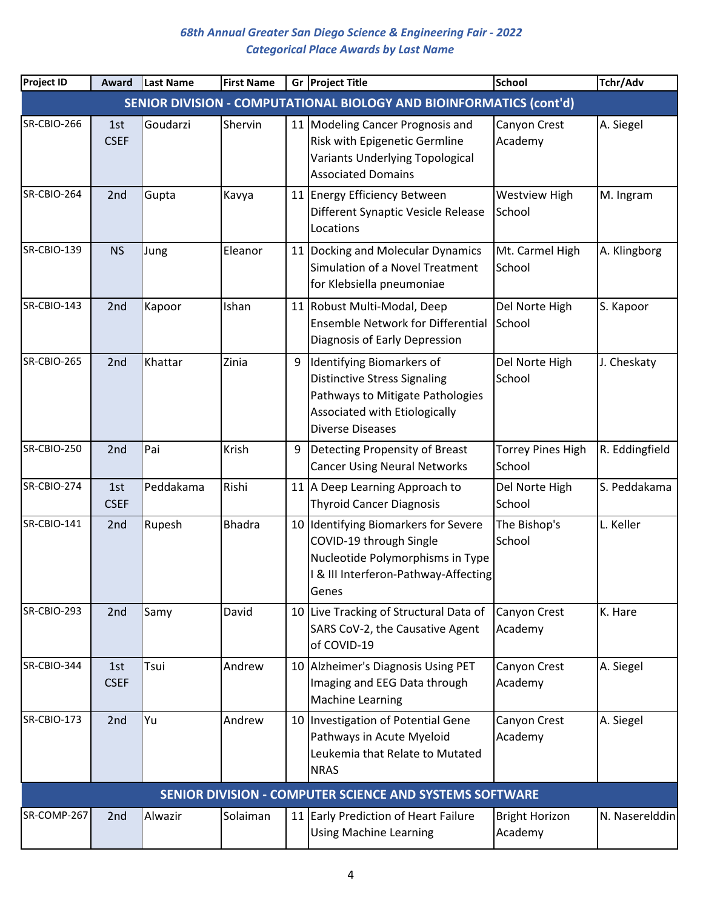| <b>Project ID</b>  | Award              | Last Name | <b>First Name</b> |    | Gr Project Title                                                                                                                                                 | School                             | Tchr/Adv       |
|--------------------|--------------------|-----------|-------------------|----|------------------------------------------------------------------------------------------------------------------------------------------------------------------|------------------------------------|----------------|
|                    |                    |           |                   |    | SENIOR DIVISION - COMPUTATIONAL BIOLOGY AND BIOINFORMATICS (cont'd)                                                                                              |                                    |                |
| SR-CBIO-266        | 1st<br><b>CSEF</b> | Goudarzi  | Shervin           |    | 11 Modeling Cancer Prognosis and<br>Risk with Epigenetic Germline<br>Variants Underlying Topological<br><b>Associated Domains</b>                                | Canyon Crest<br>Academy            | A. Siegel      |
| SR-CBIO-264        | 2nd                | Gupta     | Kavya             | 11 | <b>Energy Efficiency Between</b><br>Different Synaptic Vesicle Release<br>Locations                                                                              | <b>Westview High</b><br>School     | M. Ingram      |
| <b>SR-CBIO-139</b> | <b>NS</b>          | Jung      | Eleanor           |    | 11 Docking and Molecular Dynamics<br>Simulation of a Novel Treatment<br>for Klebsiella pneumoniae                                                                | Mt. Carmel High<br>School          | A. Klingborg   |
| SR-CBIO-143        | 2nd                | Kapoor    | Ishan             |    | 11 Robust Multi-Modal, Deep<br><b>Ensemble Network for Differential</b><br>Diagnosis of Early Depression                                                         | Del Norte High<br>School           | S. Kapoor      |
| SR-CBIO-265        | 2nd                | Khattar   | Zinia             | 9  | Identifying Biomarkers of<br><b>Distinctive Stress Signaling</b><br>Pathways to Mitigate Pathologies<br>Associated with Etiologically<br><b>Diverse Diseases</b> | Del Norte High<br>School           | J. Cheskaty    |
| SR-CBIO-250        | 2nd                | Pai       | Krish             | 9  | Detecting Propensity of Breast<br><b>Cancer Using Neural Networks</b>                                                                                            | <b>Torrey Pines High</b><br>School | R. Eddingfield |
| SR-CBIO-274        | 1st<br><b>CSEF</b> | Peddakama | Rishi             |    | 11 A Deep Learning Approach to<br><b>Thyroid Cancer Diagnosis</b>                                                                                                | Del Norte High<br>School           | S. Peddakama   |
| <b>SR-CBIO-141</b> | 2nd                | Rupesh    | <b>Bhadra</b>     |    | 10 Identifying Biomarkers for Severe<br>COVID-19 through Single<br>Nucleotide Polymorphisms in Type<br>I & III Interferon-Pathway-Affecting<br>Genes             | The Bishop's<br>School             | L. Keller      |
| SR-CBIO-293        | 2nd                | Samy      | David             |    | 10 Live Tracking of Structural Data of<br>SARS CoV-2, the Causative Agent<br>of COVID-19                                                                         | Canyon Crest<br>Academy            | K. Hare        |
| SR-CBIO-344        | 1st<br><b>CSEF</b> | Tsui      | Andrew            |    | 10 Alzheimer's Diagnosis Using PET<br>Imaging and EEG Data through<br><b>Machine Learning</b>                                                                    | Canyon Crest<br>Academy            | A. Siegel      |
| <b>SR-CBIO-173</b> | 2nd                | Yu        | Andrew            |    | 10   Investigation of Potential Gene<br>Pathways in Acute Myeloid<br>Leukemia that Relate to Mutated<br><b>NRAS</b>                                              | Canyon Crest<br>Academy            | A. Siegel      |
|                    |                    |           |                   |    | SENIOR DIVISION - COMPUTER SCIENCE AND SYSTEMS SOFTWARE                                                                                                          |                                    |                |
| SR-COMP-267        | 2 <sub>nd</sub>    | Alwazir   | Solaiman          |    | 11 Early Prediction of Heart Failure<br><b>Using Machine Learning</b>                                                                                            | <b>Bright Horizon</b><br>Academy   | N. Naserelddin |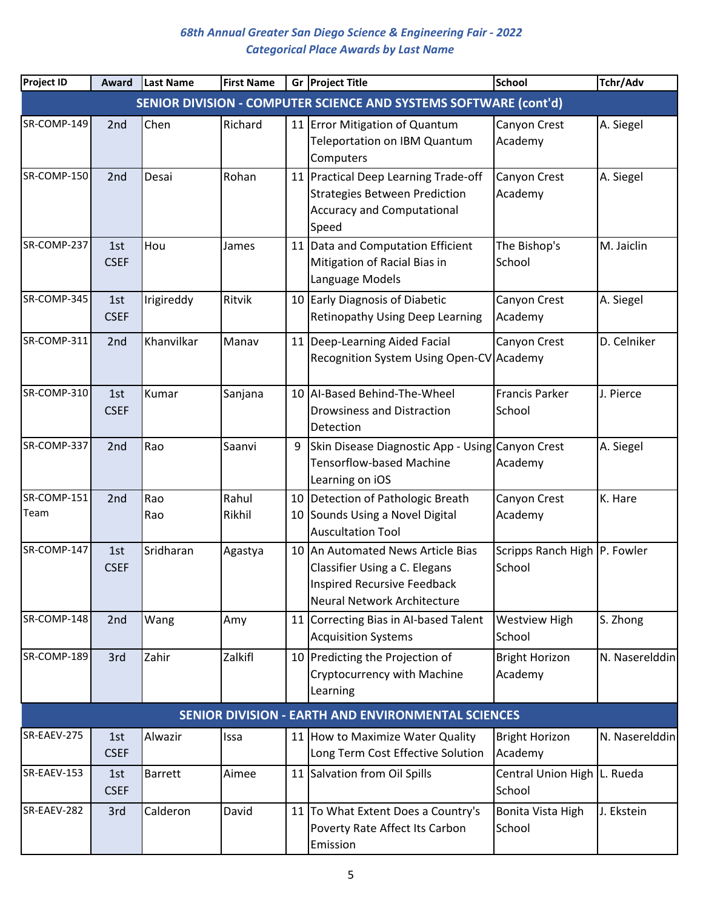| <b>Project ID</b>   | Award              | Last Name      | <b>First Name</b> |          | Gr Project Title                                                                                                                        | <b>School</b>                          | Tchr/Adv       |
|---------------------|--------------------|----------------|-------------------|----------|-----------------------------------------------------------------------------------------------------------------------------------------|----------------------------------------|----------------|
|                     |                    |                |                   |          | SENIOR DIVISION - COMPUTER SCIENCE AND SYSTEMS SOFTWARE (cont'd)                                                                        |                                        |                |
| SR-COMP-149         | 2nd                | Chen           | Richard           |          | 11 Error Mitigation of Quantum<br><b>Teleportation on IBM Quantum</b><br>Computers                                                      | Canyon Crest<br>Academy                | A. Siegel      |
| SR-COMP-150         | 2nd                | Desai          | Rohan             |          | 11 Practical Deep Learning Trade-off<br><b>Strategies Between Prediction</b><br><b>Accuracy and Computational</b><br>Speed              | Canyon Crest<br>Academy                | A. Siegel      |
| SR-COMP-237         | 1st<br><b>CSEF</b> | Hou            | James             |          | 11 Data and Computation Efficient<br>Mitigation of Racial Bias in<br>Language Models                                                    | The Bishop's<br>School                 | M. Jaiclin     |
| SR-COMP-345         | 1st<br><b>CSEF</b> | Irigireddy     | Ritvik            |          | 10 Early Diagnosis of Diabetic<br>Retinopathy Using Deep Learning                                                                       | Canyon Crest<br>Academy                | A. Siegel      |
| SR-COMP-311         | 2nd                | Khanvilkar     | Manav             |          | 11   Deep-Learning Aided Facial<br>Recognition System Using Open-CV Academy                                                             | Canyon Crest                           | D. Celniker    |
| SR-COMP-310         | 1st<br><b>CSEF</b> | Kumar          | Sanjana           |          | 10 AI-Based Behind-The-Wheel<br><b>Drowsiness and Distraction</b><br>Detection                                                          | <b>Francis Parker</b><br>School        | J. Pierce      |
| SR-COMP-337         | 2nd                | Rao            | Saanvi            | 9        | Skin Disease Diagnostic App - Using Canyon Crest<br><b>Tensorflow-based Machine</b><br>Learning on iOS                                  | Academy                                | A. Siegel      |
| SR-COMP-151<br>Team | 2nd                | Rao<br>Rao     | Rahul<br>Rikhil   | 10<br>10 | Detection of Pathologic Breath<br>Sounds Using a Novel Digital<br><b>Auscultation Tool</b>                                              | Canyon Crest<br>Academy                | K. Hare        |
| SR-COMP-147         | 1st<br><b>CSEF</b> | Sridharan      | Agastya           |          | 10 An Automated News Article Bias<br>Classifier Using a C. Elegans<br><b>Inspired Recursive Feedback</b><br>Neural Network Architecture | Scripps Ranch High P. Fowler<br>School |                |
| SR-COMP-148         | 2nd                | Wang           | Amy               |          | 11 Correcting Bias in Al-based Talent<br><b>Acquisition Systems</b>                                                                     | <b>Westview High</b><br>School         | S. Zhong       |
| SR-COMP-189         | 3rd                | Zahir          | Zalkifl           |          | 10 Predicting the Projection of<br>Cryptocurrency with Machine<br>Learning                                                              | <b>Bright Horizon</b><br>Academy       | N. Naserelddin |
|                     |                    |                |                   |          | <b>SENIOR DIVISION - EARTH AND ENVIRONMENTAL SCIENCES</b>                                                                               |                                        |                |
| SR-EAEV-275         | 1st<br><b>CSEF</b> | Alwazir        | Issa              |          | 11 How to Maximize Water Quality<br>Long Term Cost Effective Solution                                                                   | <b>Bright Horizon</b><br>Academy       | N. Naserelddin |
| SR-EAEV-153         | 1st<br><b>CSEF</b> | <b>Barrett</b> | Aimee             |          | 11 Salvation from Oil Spills                                                                                                            | Central Union High L. Rueda<br>School  |                |
| SR-EAEV-282         | 3rd                | Calderon       | David             |          | 11 To What Extent Does a Country's<br>Poverty Rate Affect Its Carbon<br>Emission                                                        | Bonita Vista High<br>School            | J. Ekstein     |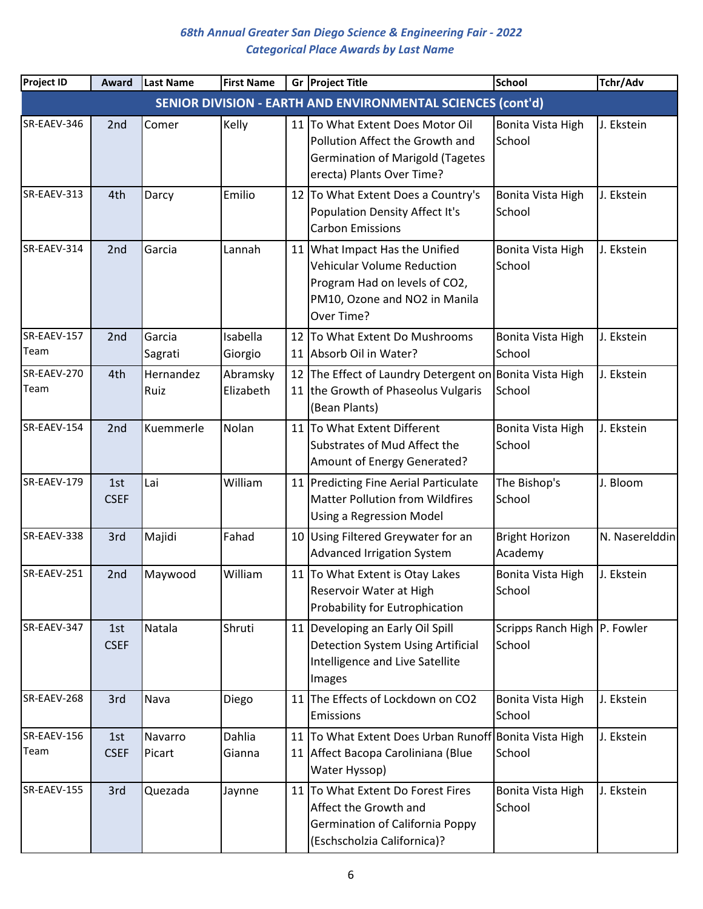| <b>Project ID</b>   | Award              | Last Name         | <b>First Name</b>     |          | Gr Project Title                                                                                                                                    | <b>School</b>                          | Tchr/Adv       |
|---------------------|--------------------|-------------------|-----------------------|----------|-----------------------------------------------------------------------------------------------------------------------------------------------------|----------------------------------------|----------------|
|                     |                    |                   |                       |          | SENIOR DIVISION - EARTH AND ENVIRONMENTAL SCIENCES (cont'd)                                                                                         |                                        |                |
| SR-EAEV-346         | 2 <sub>nd</sub>    | Comer             | Kelly                 |          | 11 To What Extent Does Motor Oil<br>Pollution Affect the Growth and<br><b>Germination of Marigold (Tagetes</b><br>erecta) Plants Over Time?         | Bonita Vista High<br>School            | J. Ekstein     |
| SR-EAEV-313         | 4th                | Darcy             | Emilio                | 12       | To What Extent Does a Country's<br>Population Density Affect It's<br><b>Carbon Emissions</b>                                                        | Bonita Vista High<br>School            | J. Ekstein     |
| SR-EAEV-314         | 2nd                | Garcia            | Lannah                |          | 11 What Impact Has the Unified<br><b>Vehicular Volume Reduction</b><br>Program Had on levels of CO2,<br>PM10, Ozone and NO2 in Manila<br>Over Time? | Bonita Vista High<br>School            | J. Ekstein     |
| SR-EAEV-157<br>Team | 2nd                | Garcia<br>Sagrati | Isabella<br>Giorgio   | 12<br>11 | To What Extent Do Mushrooms<br>Absorb Oil in Water?                                                                                                 | Bonita Vista High<br>School            | J. Ekstein     |
| SR-EAEV-270<br>Team | 4th                | Hernandez<br>Ruiz | Abramsky<br>Elizabeth | 12       | The Effect of Laundry Detergent on Bonita Vista High<br>11 the Growth of Phaseolus Vulgaris<br>(Bean Plants)                                        | School                                 | J. Ekstein     |
| SR-EAEV-154         | 2nd                | Kuemmerle         | Nolan                 |          | 11 To What Extent Different<br>Substrates of Mud Affect the<br>Amount of Energy Generated?                                                          | Bonita Vista High<br>School            | J. Ekstein     |
| SR-EAEV-179         | 1st<br><b>CSEF</b> | Lai               | William               |          | 11 Predicting Fine Aerial Particulate<br><b>Matter Pollution from Wildfires</b><br>Using a Regression Model                                         | The Bishop's<br>School                 | J. Bloom       |
| SR-EAEV-338         | 3rd                | Majidi            | Fahad                 |          | 10 Using Filtered Greywater for an<br><b>Advanced Irrigation System</b>                                                                             | <b>Bright Horizon</b><br>Academy       | N. Naserelddin |
| SR-EAEV-251         | 2nd                | Maywood           | William               |          | 11 To What Extent is Otay Lakes<br>Reservoir Water at High<br>Probability for Eutrophication                                                        | Bonita Vista High<br>School            | J. Ekstein     |
| SR-EAEV-347         | 1st<br><b>CSEF</b> | Natala            | Shruti                |          | 11 Developing an Early Oil Spill<br>Detection System Using Artificial<br>Intelligence and Live Satellite<br>Images                                  | Scripps Ranch High P. Fowler<br>School |                |
| SR-EAEV-268         | 3rd                | Nava              | Diego                 |          | 11 The Effects of Lockdown on CO2<br>Emissions                                                                                                      | Bonita Vista High<br>School            | J. Ekstein     |
| SR-EAEV-156<br>Team | 1st<br><b>CSEF</b> | Navarro<br>Picart | Dahlia<br>Gianna      |          | 11 To What Extent Does Urban Runoff Bonita Vista High<br>11 Affect Bacopa Caroliniana (Blue<br>Water Hyssop)                                        | School                                 | J. Ekstein     |
| SR-EAEV-155         | 3rd                | Quezada           | Jaynne                |          | 11 To What Extent Do Forest Fires<br>Affect the Growth and<br><b>Germination of California Poppy</b><br>(Eschscholzia Californica)?                 | Bonita Vista High<br>School            | J. Ekstein     |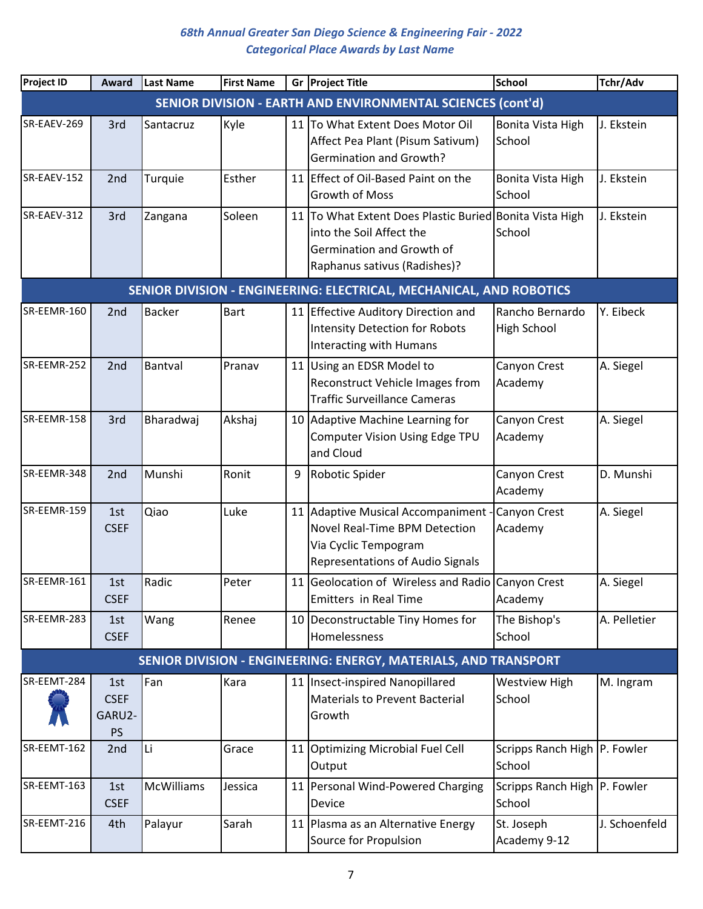| <b>Project ID</b> | Award                                     | Last Name         | <b>First Name</b> |    | Gr Project Title                                                                                                                                 | <b>School</b>                          | Tchr/Adv      |
|-------------------|-------------------------------------------|-------------------|-------------------|----|--------------------------------------------------------------------------------------------------------------------------------------------------|----------------------------------------|---------------|
|                   |                                           |                   |                   |    | SENIOR DIVISION - EARTH AND ENVIRONMENTAL SCIENCES (cont'd)                                                                                      |                                        |               |
| SR-EAEV-269       | 3rd                                       | Santacruz         | Kyle              |    | 11 To What Extent Does Motor Oil<br>Affect Pea Plant (Pisum Sativum)<br><b>Germination and Growth?</b>                                           | Bonita Vista High<br>School            | J. Ekstein    |
| SR-EAEV-152       | 2nd                                       | Turquie           | Esther            |    | 11 Effect of Oil-Based Paint on the<br><b>Growth of Moss</b>                                                                                     | Bonita Vista High<br>School            | J. Ekstein    |
| SR-EAEV-312       | 3rd                                       | Zangana           | Soleen            |    | 11 To What Extent Does Plastic Buried Bonita Vista High<br>into the Soil Affect the<br>Germination and Growth of<br>Raphanus sativus (Radishes)? | School                                 | J. Ekstein    |
|                   |                                           |                   |                   |    | SENIOR DIVISION - ENGINEERING: ELECTRICAL, MECHANICAL, AND ROBOTICS                                                                              |                                        |               |
| SR-EEMR-160       | 2nd                                       | <b>Backer</b>     | <b>Bart</b>       |    | 11 Effective Auditory Direction and<br><b>Intensity Detection for Robots</b><br>Interacting with Humans                                          | Rancho Bernardo<br>High School         | Y. Eibeck     |
| SR-EEMR-252       | 2nd                                       | Bantval           | Pranav            | 11 | Using an EDSR Model to<br>Reconstruct Vehicle Images from<br><b>Traffic Surveillance Cameras</b>                                                 | Canyon Crest<br>Academy                | A. Siegel     |
| SR-EEMR-158       | 3rd                                       | Bharadwaj         | Akshaj            |    | 10 Adaptive Machine Learning for<br>Computer Vision Using Edge TPU<br>and Cloud                                                                  | Canyon Crest<br>Academy                | A. Siegel     |
| SR-EEMR-348       | 2nd                                       | Munshi            | Ronit             | 9  | Robotic Spider                                                                                                                                   | Canyon Crest<br>Academy                | D. Munshi     |
| SR-EEMR-159       | 1st<br><b>CSEF</b>                        | Qiao              | Luke              | 11 | Adaptive Musical Accompaniment<br>Novel Real-Time BPM Detection<br>Via Cyclic Tempogram<br><b>Representations of Audio Signals</b>               | Canyon Crest<br>Academy                | A. Siegel     |
| SR-EEMR-161       | 1st<br><b>CSEF</b>                        | Radic             | Peter             |    | 11 Geolocation of Wireless and Radio Canyon Crest<br><b>Emitters in Real Time</b>                                                                | Academy                                | A. Siegel     |
| SR-EEMR-283       | 1st<br><b>CSEF</b>                        | Wang              | Renee             |    | 10 Deconstructable Tiny Homes for<br>Homelessness                                                                                                | The Bishop's<br>School                 | A. Pelletier  |
|                   |                                           |                   |                   |    | SENIOR DIVISION - ENGINEERING: ENERGY, MATERIALS, AND TRANSPORT                                                                                  |                                        |               |
| SR-EEMT-284       | 1st<br><b>CSEF</b><br>GARU2-<br><b>PS</b> | Fan               | Kara              |    | 11 Insect-inspired Nanopillared<br><b>Materials to Prevent Bacterial</b><br>Growth                                                               | <b>Westview High</b><br>School         | M. Ingram     |
| SR-EEMT-162       | 2nd                                       | Li                | Grace             |    | 11 Optimizing Microbial Fuel Cell<br>Output                                                                                                      | Scripps Ranch High P. Fowler<br>School |               |
| SR-EEMT-163       | 1st<br><b>CSEF</b>                        | <b>McWilliams</b> | Jessica           | 11 | Personal Wind-Powered Charging<br>Device                                                                                                         | Scripps Ranch High P. Fowler<br>School |               |
| SR-EEMT-216       | 4th                                       | Palayur           | Sarah             |    | 11 Plasma as an Alternative Energy<br>Source for Propulsion                                                                                      | St. Joseph<br>Academy 9-12             | J. Schoenfeld |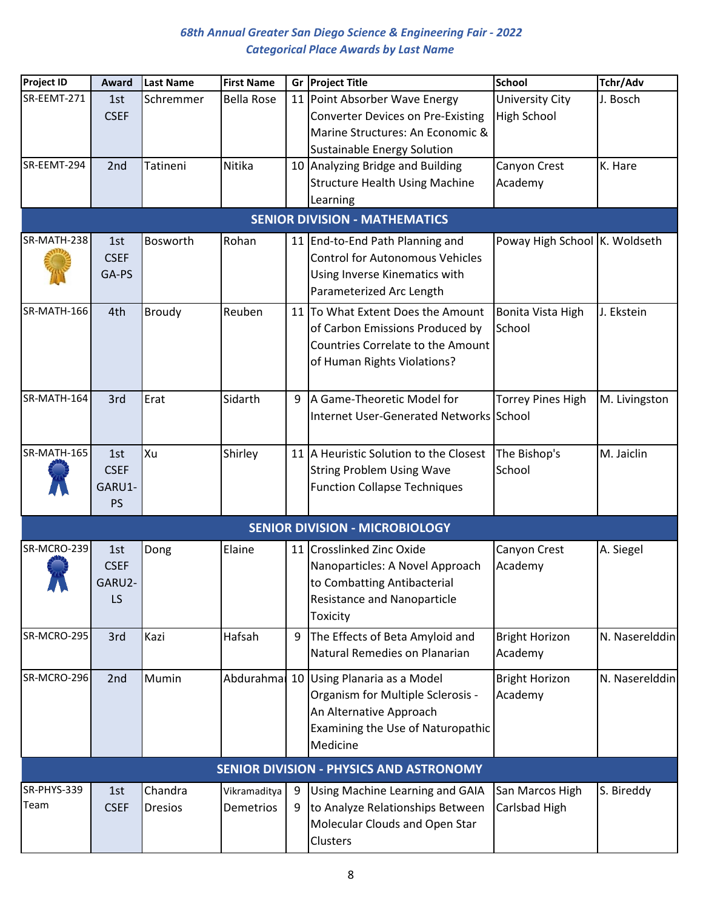| <b>Project ID</b> | Award           | <b>Last Name</b> | <b>First Name</b> | Gr | <b>Project Title</b>                           | <b>School</b>                 | Tchr/Adv       |
|-------------------|-----------------|------------------|-------------------|----|------------------------------------------------|-------------------------------|----------------|
| SR-EEMT-271       | 1st             | Schremmer        | <b>Bella Rose</b> |    | 11 Point Absorber Wave Energy                  | University City               | J. Bosch       |
|                   | <b>CSEF</b>     |                  |                   |    | <b>Converter Devices on Pre-Existing</b>       | <b>High School</b>            |                |
|                   |                 |                  |                   |    | Marine Structures: An Economic &               |                               |                |
|                   |                 |                  |                   |    | <b>Sustainable Energy Solution</b>             |                               |                |
| SR-EEMT-294       | 2 <sub>nd</sub> | Tatineni         | Nitika            |    | 10 Analyzing Bridge and Building               | Canyon Crest                  | K. Hare        |
|                   |                 |                  |                   |    | <b>Structure Health Using Machine</b>          | Academy                       |                |
|                   |                 |                  |                   |    | Learning                                       |                               |                |
|                   |                 |                  |                   |    | <b>SENIOR DIVISION - MATHEMATICS</b>           |                               |                |
| SR-MATH-238       | 1st             | Bosworth         | Rohan             |    | 11 End-to-End Path Planning and                | Poway High School K. Woldseth |                |
|                   | <b>CSEF</b>     |                  |                   |    | <b>Control for Autonomous Vehicles</b>         |                               |                |
|                   | GA-PS           |                  |                   |    | Using Inverse Kinematics with                  |                               |                |
|                   |                 |                  |                   |    | Parameterized Arc Length                       |                               |                |
| SR-MATH-166       | 4th             | Broudy           | Reuben            | 11 | To What Extent Does the Amount                 | Bonita Vista High             | J. Ekstein     |
|                   |                 |                  |                   |    | of Carbon Emissions Produced by                | School                        |                |
|                   |                 |                  |                   |    | <b>Countries Correlate to the Amount</b>       |                               |                |
|                   |                 |                  |                   |    | of Human Rights Violations?                    |                               |                |
|                   |                 |                  |                   |    |                                                |                               |                |
| SR-MATH-164       | 3rd             | Erat             | Sidarth           | 9  | A Game-Theoretic Model for                     | <b>Torrey Pines High</b>      | M. Livingston  |
|                   |                 |                  |                   |    | Internet User-Generated Networks School        |                               |                |
| SR-MATH-165       | 1st             | lxu              | Shirley           |    | 11 A Heuristic Solution to the Closest         | The Bishop's                  | M. Jaiclin     |
|                   | <b>CSEF</b>     |                  |                   |    | <b>String Problem Using Wave</b>               | School                        |                |
|                   | GARU1-          |                  |                   |    | <b>Function Collapse Techniques</b>            |                               |                |
|                   | <b>PS</b>       |                  |                   |    |                                                |                               |                |
|                   |                 |                  |                   |    | <b>SENIOR DIVISION - MICROBIOLOGY</b>          |                               |                |
| SR-MCRO-239       | 1st             | Dong             | Elaine            |    | 11 Crosslinked Zinc Oxide                      | Canyon Crest                  | A. Siegel      |
|                   | <b>CSEF</b>     |                  |                   |    | Nanoparticles: A Novel Approach                | Academy                       |                |
| A N               | GARU2           |                  |                   |    | to Combatting Antibacterial                    |                               |                |
|                   | LS              |                  |                   |    | <b>Resistance and Nanoparticle</b>             |                               |                |
|                   |                 |                  |                   |    | Toxicity                                       |                               |                |
| SR-MCRO-295       | 3rd             | Kazi             | Hafsah            | 9  | The Effects of Beta Amyloid and                | <b>Bright Horizon</b>         | N. Naserelddin |
|                   |                 |                  |                   |    | Natural Remedies on Planarian                  | Academy                       |                |
| SR-MCRO-296       | 2nd             | Mumin            |                   |    | Abdurahma 10 Using Planaria as a Model         | <b>Bright Horizon</b>         | N. Naserelddin |
|                   |                 |                  |                   |    | Organism for Multiple Sclerosis -              | Academy                       |                |
|                   |                 |                  |                   |    | An Alternative Approach                        |                               |                |
|                   |                 |                  |                   |    | Examining the Use of Naturopathic              |                               |                |
|                   |                 |                  |                   |    | Medicine                                       |                               |                |
|                   |                 |                  |                   |    | <b>SENIOR DIVISION - PHYSICS AND ASTRONOMY</b> |                               |                |
| SR-PHYS-339       | 1st             | Chandra          | Vikramaditya      | 9  | Using Machine Learning and GAIA                | San Marcos High               | S. Bireddy     |
| Team              | <b>CSEF</b>     | <b>Dresios</b>   | Demetrios         | 9  | to Analyze Relationships Between               | Carlsbad High                 |                |
|                   |                 |                  |                   |    | Molecular Clouds and Open Star                 |                               |                |
|                   |                 |                  |                   |    | Clusters                                       |                               |                |